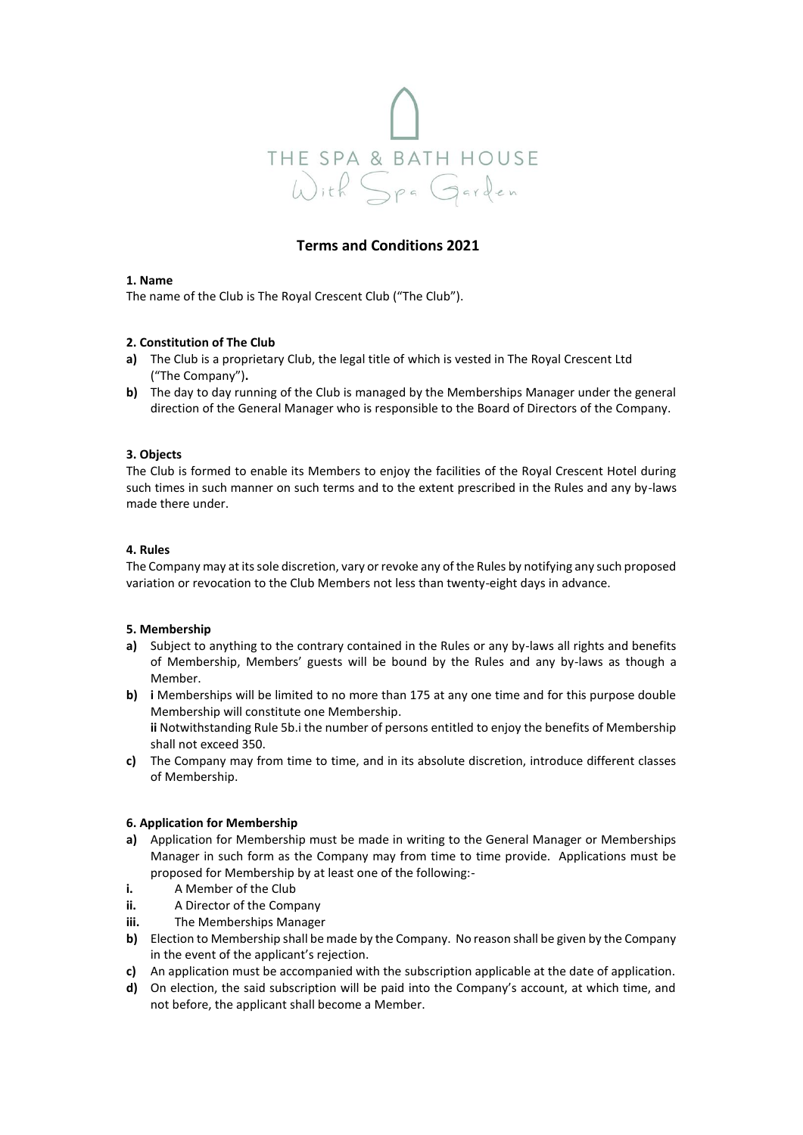

# **Terms and Conditions 2021**

### **1. Name**

The name of the Club is The Royal Crescent Club ("The Club").

### **2. Constitution of The Club**

- **a)** The Club is a proprietary Club, the legal title of which is vested in The Royal Crescent Ltd ("The Company")**.**
- **b)** The day to day running of the Club is managed by the Memberships Manager under the general direction of the General Manager who is responsible to the Board of Directors of the Company.

### **3. Objects**

The Club is formed to enable its Members to enjoy the facilities of the Royal Crescent Hotel during such times in such manner on such terms and to the extent prescribed in the Rules and any by-laws made there under.

#### **4. Rules**

The Company may at its sole discretion, vary or revoke any of the Rules by notifying any such proposed variation or revocation to the Club Members not less than twenty-eight days in advance.

#### **5. Membership**

- **a)** Subject to anything to the contrary contained in the Rules or any by-laws all rights and benefits of Membership, Members' guests will be bound by the Rules and any by-laws as though a Member.
- **b) i** Memberships will be limited to no more than 175 at any one time and for this purpose double Membership will constitute one Membership.

**ii** Notwithstanding Rule 5b.i the number of persons entitled to enjoy the benefits of Membership shall not exceed 350.

**c)** The Company may from time to time, and in its absolute discretion, introduce different classes of Membership.

#### **6. Application for Membership**

- **a)** Application for Membership must be made in writing to the General Manager or Memberships Manager in such form as the Company may from time to time provide. Applications must be proposed for Membership by at least one of the following:-
- **i.** A Member of the Club
- **ii.** A Director of the Company
- **iii.** The Memberships Manager
- **b)** Election to Membership shall be made by the Company. No reason shall be given by the Company in the event of the applicant's rejection.
- **c)** An application must be accompanied with the subscription applicable at the date of application.
- **d)** On election, the said subscription will be paid into the Company's account, at which time, and not before, the applicant shall become a Member.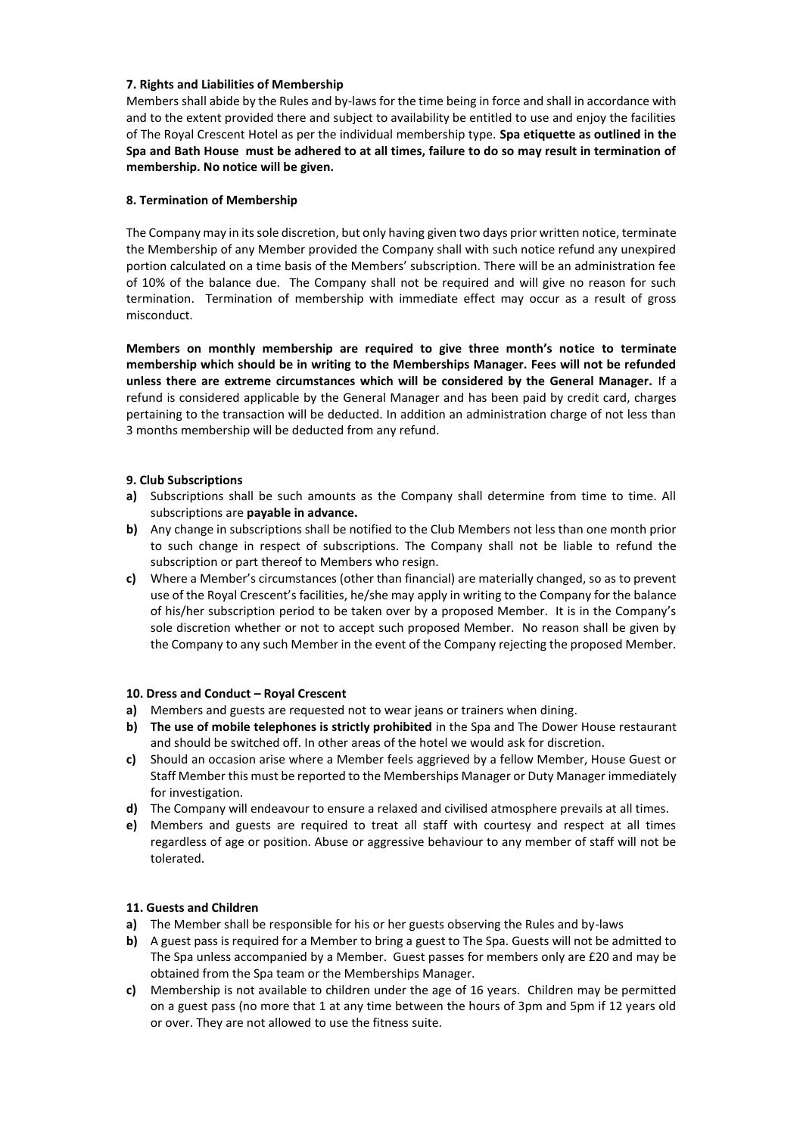# **7. Rights and Liabilities of Membership**

Members shall abide by the Rules and by-laws for the time being in force and shall in accordance with and to the extent provided there and subject to availability be entitled to use and enjoy the facilities of The Royal Crescent Hotel as per the individual membership type. **Spa etiquette as outlined in the Spa and Bath House must be adhered to at all times, failure to do so may result in termination of membership. No notice will be given.**

#### **8. Termination of Membership**

The Company may in its sole discretion, but only having given two days prior written notice, terminate the Membership of any Member provided the Company shall with such notice refund any unexpired portion calculated on a time basis of the Members' subscription. There will be an administration fee of 10% of the balance due. The Company shall not be required and will give no reason for such termination. Termination of membership with immediate effect may occur as a result of gross misconduct.

**Members on monthly membership are required to give three month's notice to terminate membership which should be in writing to the Memberships Manager. Fees will not be refunded unless there are extreme circumstances which will be considered by the General Manager.** If a refund is considered applicable by the General Manager and has been paid by credit card, charges pertaining to the transaction will be deducted. In addition an administration charge of not less than 3 months membership will be deducted from any refund.

# **9. Club Subscriptions**

- **a)** Subscriptions shall be such amounts as the Company shall determine from time to time. All subscriptions are **payable in advance.**
- **b)** Any change in subscriptions shall be notified to the Club Members not less than one month prior to such change in respect of subscriptions. The Company shall not be liable to refund the subscription or part thereof to Members who resign.
- **c)** Where a Member's circumstances (other than financial) are materially changed, so as to prevent use of the Royal Crescent's facilities, he/she may apply in writing to the Company for the balance of his/her subscription period to be taken over by a proposed Member. It is in the Company's sole discretion whether or not to accept such proposed Member. No reason shall be given by the Company to any such Member in the event of the Company rejecting the proposed Member.

# **10. Dress and Conduct – Royal Crescent**

- **a)** Members and guests are requested not to wear jeans or trainers when dining.
- **b) The use of mobile telephones is strictly prohibited** in the Spa and The Dower House restaurant and should be switched off. In other areas of the hotel we would ask for discretion.
- **c)** Should an occasion arise where a Member feels aggrieved by a fellow Member, House Guest or Staff Member this must be reported to the Memberships Manager or Duty Manager immediately for investigation.
- **d)** The Company will endeavour to ensure a relaxed and civilised atmosphere prevails at all times.
- **e)** Members and guests are required to treat all staff with courtesy and respect at all times regardless of age or position. Abuse or aggressive behaviour to any member of staff will not be tolerated.

# **11. Guests and Children**

- **a)** The Member shall be responsible for his or her guests observing the Rules and by-laws
- **b)** A guest pass is required for a Member to bring a guest to The Spa. Guests will not be admitted to The Spa unless accompanied by a Member. Guest passes for members only are £20 and may be obtained from the Spa team or the Memberships Manager.
- **c)** Membership is not available to children under the age of 16 years. Children may be permitted on a guest pass (no more that 1 at any time between the hours of 3pm and 5pm if 12 years old or over. They are not allowed to use the fitness suite.